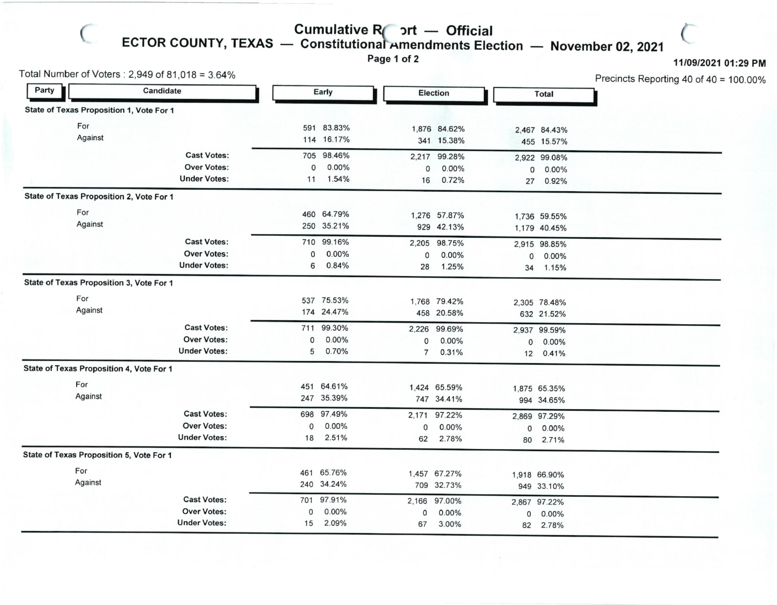## — Official<br>dments Ele

 $\subset$ 

Cumulative R<sub>1</sub> ort<br>ECTOR COUNTY, TEXAS — Constitutional Amen — Constitutional Amendments Election — November 02, 2021<br>Page 1 of 2

Page 1 of 2

11/09/2021 01:29 PM

Precincts Reporting 40 of 40 '100.00%

(

| Total Number of Voters : 2,949 of 81,018 = 3.64% |                                          |                     |             |            |                |                 |              | Precincts Reporting 40 of 40 = |  |
|--------------------------------------------------|------------------------------------------|---------------------|-------------|------------|----------------|-----------------|--------------|--------------------------------|--|
| Party                                            |                                          | Candidate           |             | Early      |                | <b>Election</b> |              | <b>Total</b>                   |  |
|                                                  | State of Texas Proposition 1, Vote For 1 |                     |             |            |                |                 |              |                                |  |
|                                                  | For                                      |                     |             | 591 83.83% |                | 1,876 84.62%    |              | 2,467 84.43%                   |  |
|                                                  | Against                                  |                     |             | 114 16.17% |                | 341 15.38%      |              | 455 15.57%                     |  |
|                                                  |                                          | <b>Cast Votes:</b>  |             | 705 98.46% |                | 2,217 99.28%    |              | 2,922 99.08%                   |  |
|                                                  |                                          | Over Votes:         | 0           | 0.00%      | 0              | 0.00%           | $\mathsf{O}$ | 0.00%                          |  |
|                                                  |                                          | <b>Under Votes:</b> | 11          | 1.54%      | 16             | 0.72%           |              | 27 0.92%                       |  |
|                                                  | State of Texas Proposition 2, Vote For 1 |                     |             |            |                |                 |              |                                |  |
|                                                  | For                                      |                     |             | 460 64.79% |                | 1,276 57.87%    |              | 1,736 59.55%                   |  |
|                                                  | Against                                  |                     |             | 250 35.21% |                | 929 42.13%      |              | 1,179 40.45%                   |  |
|                                                  |                                          | <b>Cast Votes:</b>  |             | 710 99.16% | 2,205          | 98.75%          |              | 2,915 98.85%                   |  |
|                                                  |                                          | <b>Over Votes:</b>  | $\mathbf 0$ | $0.00\%$   | 0              | 0.00%           | 0            | 0.00%                          |  |
|                                                  |                                          | <b>Under Votes:</b> | 6           | 0.84%      | 28             | 1.25%           |              | 34 1.15%                       |  |
|                                                  | State of Texas Proposition 3, Vote For 1 |                     |             |            |                |                 |              |                                |  |
|                                                  | For                                      |                     |             | 537 75.53% |                | 1,768 79.42%    |              | 2,305 78.48%                   |  |
|                                                  | Against                                  |                     |             | 174 24.47% |                | 458 20.58%      |              | 632 21.52%                     |  |
|                                                  |                                          | <b>Cast Votes:</b>  |             | 711 99.30% |                | 2,226 99.69%    |              | 2,937 99.59%                   |  |
|                                                  |                                          | <b>Over Votes:</b>  | 0           | 0.00%      | 0              | $0.00\%$        | 0            | 0.00%                          |  |
|                                                  |                                          | <b>Under Votes:</b> | 5           | 0.70%      | $\overline{7}$ | 0.31%           |              | 12 0.41%                       |  |
|                                                  | State of Texas Proposition 4, Vote For 1 |                     |             |            |                |                 |              |                                |  |
|                                                  | For                                      |                     |             | 451 64.61% |                | 1,424 65.59%    |              | 1,875 65.35%                   |  |
|                                                  | Against                                  |                     |             | 247 35.39% |                | 747 34.41%      |              | 994 34.65%                     |  |
|                                                  |                                          | <b>Cast Votes:</b>  |             | 698 97.49% |                | 2,171 97.22%    |              | 2,869 97.29%                   |  |
|                                                  |                                          | <b>Over Votes:</b>  | 0           | 0.00%      | 0              | $0.00\%$        | 0            | 0.00%                          |  |
|                                                  |                                          | <b>Under Votes:</b> | 18          | 2.51%      | 62             | 2.78%           |              | 80 2.71%                       |  |
|                                                  | State of Texas Proposition 5, Vote For 1 |                     |             |            |                |                 |              |                                |  |
|                                                  | For                                      |                     |             | 461 65.76% |                | 1,457 67.27%    |              | 1,918 66.90%                   |  |
|                                                  | Against                                  |                     |             | 240 34.24% |                | 709 32.73%      |              | 949 33.10%                     |  |
|                                                  |                                          | <b>Cast Votes:</b>  |             | 701 97.91% | 2,166          | 97.00%          |              | 2,867 97.22%                   |  |
|                                                  |                                          | Over Votes:         | 0           | $0.00\%$   | 0              | 0.00%           | 0            | 0.00%                          |  |
|                                                  |                                          | <b>Under Votes:</b> | 15          | 2.09%      | 67             | 3.00%           | 82           | 2.78%                          |  |